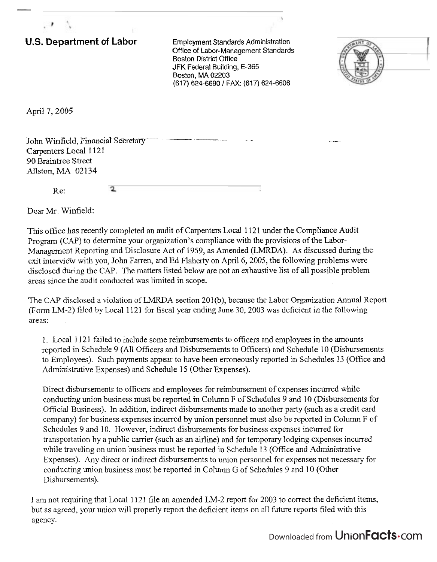**U.S. Department of Labor** Employment Standards Administration

Office of Labor-Management Standards Boston District Office JFK Federal Building, E-365 Boston, MA **02203**  (617) 624-6690 / FAX: (617) 624-6606



April 7,2005

| John Winfield, Financial Secretary |  |  |
|------------------------------------|--|--|
| Carpenters Local 1121              |  |  |
| 90 Braintree Street                |  |  |
| Allston, MA 02134                  |  |  |
| R e:                               |  |  |

Dear Mr. Winfield:

This office has recently completed an audit of Carpenters Local 1121 under the Compliance Audit Program (CAP) to determine your organization's compliance with the provisions of the Labor-Management Reporting and Disclosure Act of 1959, as Amended (LMRDA). As discussed during the exit interview with you, John Farren, and Ed Flaherty on April 6,2005, the following problems were disclosed during the CAP. The matters listed below are not an exhaustive list of all possible problem areas since the audit conducted was limited in scope.

The CAP disclosed a violation of LMRDA section 201(b), because the Labor Organization Annual Report (Form LM-2) filed by Local 1121 for fiscal year ending June 30,2003 was deficient in the following areas:

1. Local 1 121 failed to include some reimbursements to officers and employees in the amounts reported in Schedule 9 (All Officers and Disbursements to Officers) and Schedule 10 (Disbursements to Employees). Such payments appear to have been erroneously reported in Schedules 13 (Office and Administrative Expenses) and Schedule 15 (Other Expenses).

Direct disbursements to officers and employees for reimbursement of expenses incurred while conducting union business must be reported in Column F of Schedules 9 and 10 (Disbursements for Official Business). In addition, indirect disbursements made to another party (such as a credit card company) for business expenses incurred by union personnel must also be reported in Column F of Schedules 9 and 10. However, indirect disbursements for business expenses incurred for transportation by a public carrier (such as an airline) and for temporary lodging expenses incurred while traveling on union business must be reported in Schedule 13 (Office and Administrative Expenses). Any direct or indirect disbursements to union personnel for expenses not necessary for conducting union business must be reported in Column G of Schedules 9 and 10 (Other Disbursements).

I am not requiring that Local 1121 file an amended LM-2 report for 2003 to correct the deficient items, but as agreed, your union will properly report the deficient items on all future reports filed with this agency.